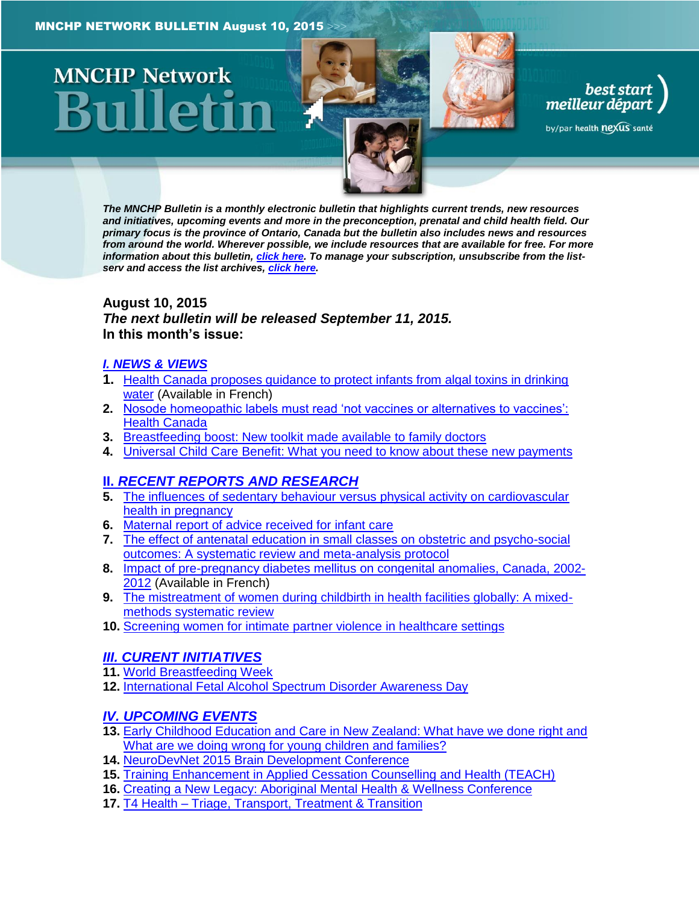# **MNCHP Network**

best start<br>, meilleur départ

by/par health nexus santé

*The MNCHP Bulletin is a monthly electronic bulletin that highlights current trends, new resources and initiatives, upcoming events and more in the preconception, prenatal and child health field. Our primary focus is the province of Ontario, Canada but the bulletin also includes news and resources from around the world. Wherever possible, we include resources that are available for free. For more information about this bulletin[, click here.](#page-16-0) To manage your subscription, unsubscribe from the listserv and access the list archives, [click here.](http://beststart.org/services/information.html)* 

## <span id="page-0-0"></span>**August 10, 2015** *The next bulletin will be released September 11, 2015.* **In this month's issue:**

## *[I. NEWS & VIEWS](#page-1-0)*

- **1.** [Health Canada proposes guidance to protect infants from algal toxins in drinking](#page-1-1)  [water](#page-1-1) (Available in French)
- **2.** [Nosode homeopathic labels must read 'not vaccines or alternatives to vaccines':](#page-1-2)  [Health Canada](#page-1-2)
- **3.** [Breastfeeding boost: New toolkit made available to family doctors](#page-2-0)
- **4.** [Universal Child Care Benefit: What you need to know about these new payments](#page-2-1)

## **II.** *[RECENT REPORTS AND RESEARCH](#page-3-0)*

- **5.** [The influences of sedentary behaviour versus physical activity on cardiovascular](#page-3-1)  [health in pregnancy](#page-3-1)
- **6.** [Maternal report of advice received for infant care](#page-3-2)
- **7.** [The effect of antenatal education in small classes on obstetric and psycho-social](#page-4-0)  [outcomes: A systematic review and meta-analysis protocol](#page-4-0)
- **8.** [Impact of pre-pregnancy diabetes mellitus on congenital anomalies, Canada, 2002-](#page-5-0) [2012](#page-5-0) (Available in French)
- **9.** [The mistreatment of women during childbirth in health facilities globally: A mixed](#page-6-0)[methods systematic review](#page-6-0)
- **10.** [Screening women for intimate partner violence in healthcare settings](#page-7-0)

## *[III. CURENT INITIATIVES](#page-8-0)*

- **11.** [World Breastfeeding Week](#page-8-1)
- **12.** [International Fetal Alcohol Spectrum Disorder Awareness Day](#page-9-0)

## *[IV. UPCOMING EVENTS](#page-10-0)*

- **13.** [Early Childhood Education and Care in New Zealand: What have we done right and](#page-10-1)  [What are we doing wrong for young children and families?](#page-10-1)
- **14.** [NeuroDevNet 2015 Brain Development Conference](#page-10-2)
- **15.** Training [Enhancement in Applied Cessation Counselling and Health \(TEACH\)](#page-11-0)
- **16.** [Creating a New Legacy: Aboriginal Mental Health & Wellness Conference](#page-11-1)
- **17.** T4 Health [Triage, Transport, Treatment & Transition](#page-11-2)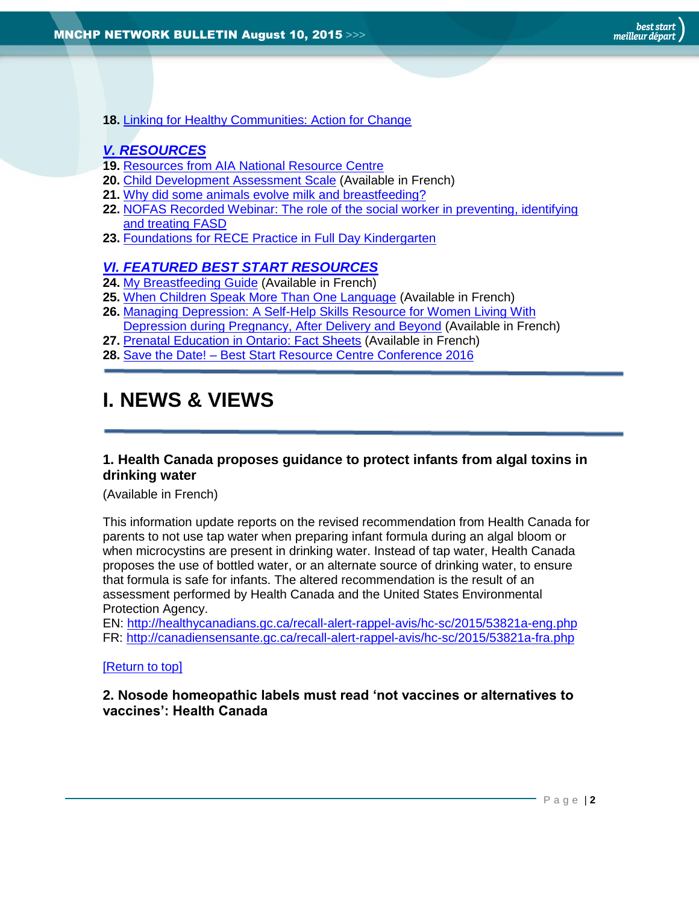**18.** [Linking for Healthy Communities: Action for Change](#page-12-0)

## *[V. RESOURCES](#page-12-1)*

- **19.** [Resources from AIA National Resource Centre](#page-12-2)
- **20.** [Child Development Assessment Scale](#page-13-0) (Available in French)
- **21.** [Why did some animals evolve milk and breastfeeding?](#page-13-1)
- **22.** [NOFAS Recorded Webinar: The role of the social worker in preventing, identifying](#page-13-2)  [and treating FASD](#page-13-2)
- **23.** [Foundations for RECE Practice in Full Day Kindergarten](#page-14-0)

## *[VI. FEATURED BEST START RESOURCES](#page-14-1)*

- **24.** [My Breastfeeding Guide](#page-14-2) (Available in French)
- **25.** [When Children Speak More Than One Language](#page-14-3) (Available in French)
- **26.** [Managing Depression: A Self-Help Skills Resource for Women Living With](#page-15-0)  [Depression during Pregnancy, After Delivery and Beyond](#page-15-0) (Available in French)
- **27.** [Prenatal Education in Ontario: Fact Sheets](#page-15-1) (Available in French)
- **28.** Save the Date! [Best Start Resource Centre Conference 2016](#page-16-1)

# <span id="page-1-0"></span>**I. NEWS & VIEWS**

## <span id="page-1-1"></span>**1. Health Canada proposes guidance to protect infants from algal toxins in drinking water**

## (Available in French)

This information update reports on the revised recommendation from Health Canada for parents to not use tap water when preparing infant formula during an algal bloom or when microcystins are present in drinking water. Instead of tap water, Health Canada proposes the use of bottled water, or an alternate source of drinking water, to ensure that formula is safe for infants. The altered recommendation is the result of an assessment performed by Health Canada and the United States Environmental Protection Agency.

EN:<http://healthycanadians.gc.ca/recall-alert-rappel-avis/hc-sc/2015/53821a-eng.php> FR:<http://canadiensensante.gc.ca/recall-alert-rappel-avis/hc-sc/2015/53821a-fra.php>

## <span id="page-1-2"></span>[\[Return to top\]](#page-0-0)

## **2. Nosode homeopathic labels must read 'not vaccines or alternatives to vaccines': Health Canada**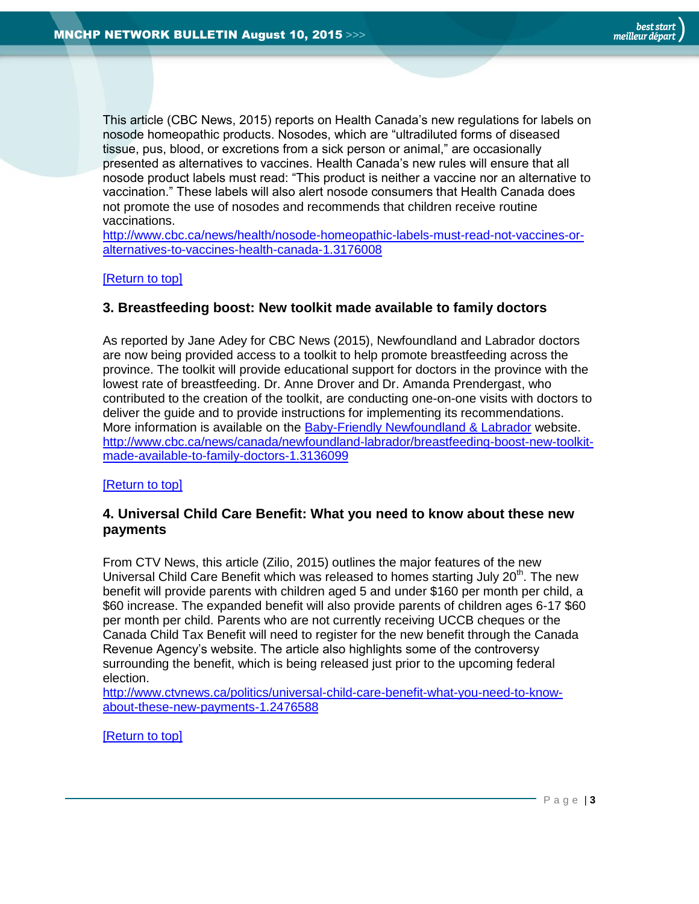This article (CBC News, 2015) reports on Health Canada's new regulations for labels on nosode homeopathic products. Nosodes, which are "ultradiluted forms of diseased tissue, pus, blood, or excretions from a sick person or animal," are occasionally presented as alternatives to vaccines. Health Canada's new rules will ensure that all nosode product labels must read: "This product is neither a vaccine nor an alternative to vaccination." These labels will also alert nosode consumers that Health Canada does not promote the use of nosodes and recommends that children receive routine vaccinations.

[http://www.cbc.ca/news/health/nosode-homeopathic-labels-must-read-not-vaccines-or](http://www.cbc.ca/news/health/nosode-homeopathic-labels-must-read-not-vaccines-or-alternatives-to-vaccines-health-canada-1.3176008)[alternatives-to-vaccines-health-canada-1.3176008](http://www.cbc.ca/news/health/nosode-homeopathic-labels-must-read-not-vaccines-or-alternatives-to-vaccines-health-canada-1.3176008)

## <span id="page-2-0"></span>[\[Return to top\]](#page-0-0)

## **3. Breastfeeding boost: New toolkit made available to family doctors**

As reported by Jane Adey for CBC News (2015), Newfoundland and Labrador doctors are now being provided access to a toolkit to help promote breastfeeding across the province. The toolkit will provide educational support for doctors in the province with the lowest rate of breastfeeding. Dr. Anne Drover and Dr. Amanda Prendergast, who contributed to the creation of the toolkit, are conducting one-on-one visits with doctors to deliver the guide and to provide instructions for implementing its recommendations. More information is available on the [Baby-Friendly Newfoundland & Labrador](http://www.babyfriendlynl.ca/) website. [http://www.cbc.ca/news/canada/newfoundland-labrador/breastfeeding-boost-new-toolkit](http://www.cbc.ca/news/canada/newfoundland-labrador/breastfeeding-boost-new-toolkit-made-available-to-family-doctors-1.3136099)[made-available-to-family-doctors-1.3136099](http://www.cbc.ca/news/canada/newfoundland-labrador/breastfeeding-boost-new-toolkit-made-available-to-family-doctors-1.3136099)

## <span id="page-2-1"></span>[\[Return to top\]](#page-0-0)

## **4. Universal Child Care Benefit: What you need to know about these new payments**

From CTV News, this article (Zilio, 2015) outlines the major features of the new Universal Child Care Benefit which was released to homes starting July 20<sup>th</sup>. The new benefit will provide parents with children aged 5 and under \$160 per month per child, a \$60 increase. The expanded benefit will also provide parents of children ages 6-17 \$60 per month per child. Parents who are not currently receiving UCCB cheques or the Canada Child Tax Benefit will need to register for the new benefit through the Canada Revenue Agency's website. The article also highlights some of the controversy surrounding the benefit, which is being released just prior to the upcoming federal election.

[http://www.ctvnews.ca/politics/universal-child-care-benefit-what-you-need-to-know](http://www.ctvnews.ca/politics/universal-child-care-benefit-what-you-need-to-know-about-these-new-payments-1.2476588)[about-these-new-payments-1.2476588](http://www.ctvnews.ca/politics/universal-child-care-benefit-what-you-need-to-know-about-these-new-payments-1.2476588)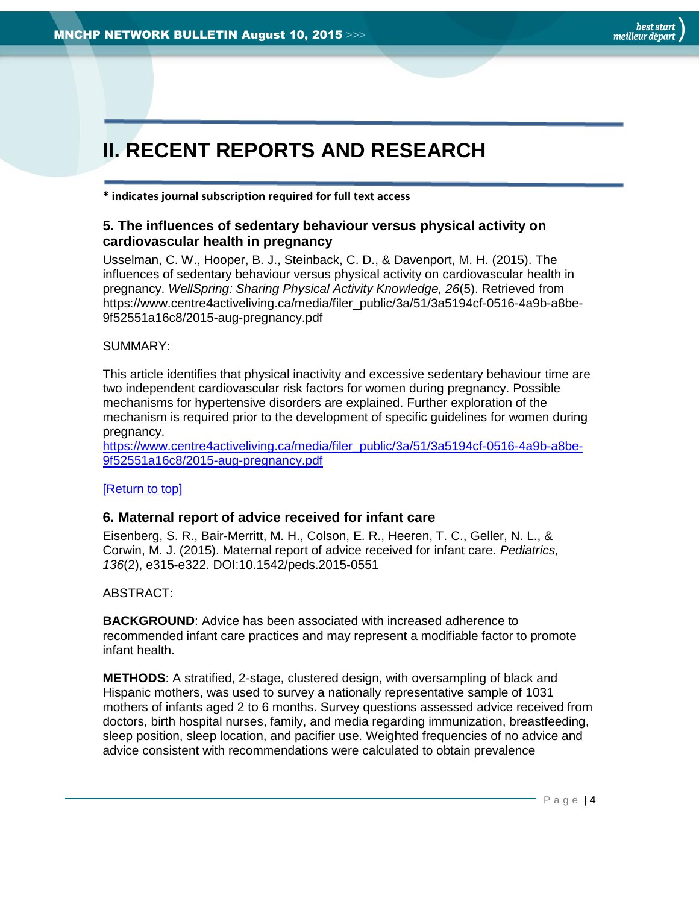# <span id="page-3-0"></span>**II. RECENT REPORTS AND RESEARCH**

<span id="page-3-1"></span>**\* indicates journal subscription required for full text access**

## **5. The influences of sedentary behaviour versus physical activity on cardiovascular health in pregnancy**

Usselman, C. W., Hooper, B. J., Steinback, C. D., & Davenport, M. H. (2015). The influences of sedentary behaviour versus physical activity on cardiovascular health in pregnancy. *WellSpring: Sharing Physical Activity Knowledge, 26*(5). Retrieved from https://www.centre4activeliving.ca/media/filer\_public/3a/51/3a5194cf-0516-4a9b-a8be-9f52551a16c8/2015-aug-pregnancy.pdf

## SUMMARY:

This article identifies that physical inactivity and excessive sedentary behaviour time are two independent cardiovascular risk factors for women during pregnancy. Possible mechanisms for hypertensive disorders are explained. Further exploration of the mechanism is required prior to the development of specific guidelines for women during pregnancy.

[https://www.centre4activeliving.ca/media/filer\\_public/3a/51/3a5194cf-0516-4a9b-a8be-](https://www.centre4activeliving.ca/media/filer_public/3a/51/3a5194cf-0516-4a9b-a8be-9f52551a16c8/2015-aug-pregnancy.pdf)[9f52551a16c8/2015-aug-pregnancy.pdf](https://www.centre4activeliving.ca/media/filer_public/3a/51/3a5194cf-0516-4a9b-a8be-9f52551a16c8/2015-aug-pregnancy.pdf)

## <span id="page-3-2"></span>[\[Return to top\]](#page-0-0)

## **6. Maternal report of advice received for infant care**

Eisenberg, S. R., Bair-Merritt, M. H., Colson, E. R., Heeren, T. C., Geller, N. L., & Corwin, M. J. (2015). Maternal report of advice received for infant care. *Pediatrics, 136*(2), e315-e322. DOI:10.1542/peds.2015-0551

ABSTRACT:

**BACKGROUND**: Advice has been associated with increased adherence to recommended infant care practices and may represent a modifiable factor to promote infant health.

**METHODS**: A stratified, 2-stage, clustered design, with oversampling of black and Hispanic mothers, was used to survey a nationally representative sample of 1031 mothers of infants aged 2 to 6 months. Survey questions assessed advice received from doctors, birth hospital nurses, family, and media regarding immunization, breastfeeding, sleep position, sleep location, and pacifier use. Weighted frequencies of no advice and advice consistent with recommendations were calculated to obtain prevalence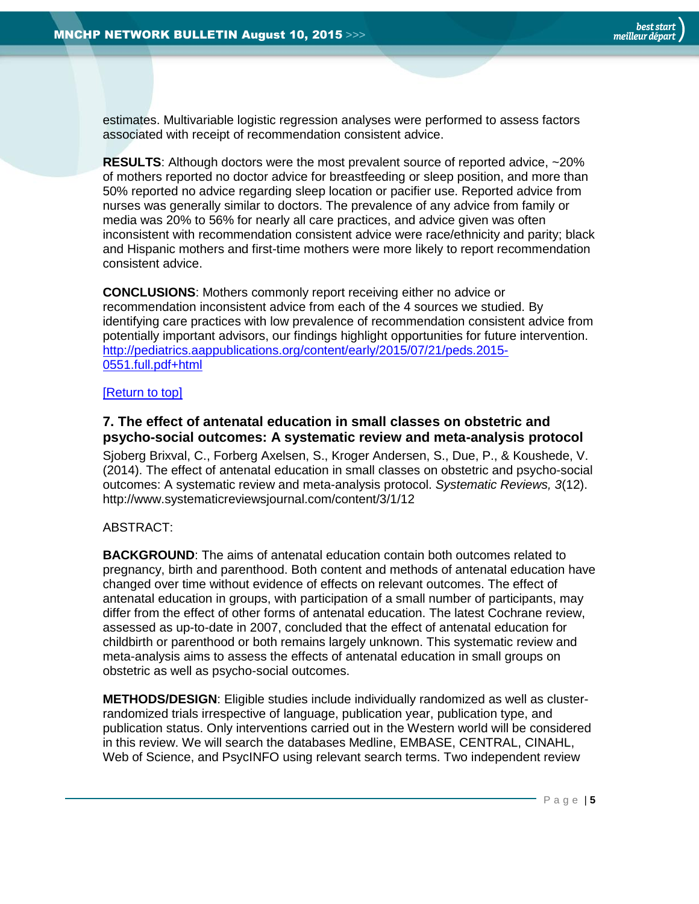estimates. Multivariable logistic regression analyses were performed to assess factors associated with receipt of recommendation consistent advice.

**RESULTS**: Although doctors were the most prevalent source of reported advice, ~20% of mothers reported no doctor advice for breastfeeding or sleep position, and more than 50% reported no advice regarding sleep location or pacifier use. Reported advice from nurses was generally similar to doctors. The prevalence of any advice from family or media was 20% to 56% for nearly all care practices, and advice given was often inconsistent with recommendation consistent advice were race/ethnicity and parity; black and Hispanic mothers and first-time mothers were more likely to report recommendation consistent advice.

**CONCLUSIONS**: Mothers commonly report receiving either no advice or recommendation inconsistent advice from each of the 4 sources we studied. By identifying care practices with low prevalence of recommendation consistent advice from potentially important advisors, our findings highlight opportunities for future intervention. [http://pediatrics.aappublications.org/content/early/2015/07/21/peds.2015-](http://pediatrics.aappublications.org/content/early/2015/07/21/peds.2015-0551.full.pdf+html) [0551.full.pdf+html](http://pediatrics.aappublications.org/content/early/2015/07/21/peds.2015-0551.full.pdf+html)

## <span id="page-4-0"></span>[\[Return to top\]](#page-0-0)

## **7. The effect of antenatal education in small classes on obstetric and psycho-social outcomes: A systematic review and meta-analysis protocol**

Sjoberg Brixval, C., Forberg Axelsen, S., Kroger Andersen, S., Due, P., & Koushede, V. (2014). The effect of antenatal education in small classes on obstetric and psycho-social outcomes: A systematic review and meta-analysis protocol. *Systematic Reviews, 3*(12). http://www.systematicreviewsjournal.com/content/3/1/12

## ABSTRACT:

**BACKGROUND**: The aims of antenatal education contain both outcomes related to pregnancy, birth and parenthood. Both content and methods of antenatal education have changed over time without evidence of effects on relevant outcomes. The effect of antenatal education in groups, with participation of a small number of participants, may differ from the effect of other forms of antenatal education. The latest Cochrane review, assessed as up-to-date in 2007, concluded that the effect of antenatal education for childbirth or parenthood or both remains largely unknown. This systematic review and meta-analysis aims to assess the effects of antenatal education in small groups on obstetric as well as psycho-social outcomes.

**METHODS/DESIGN**: Eligible studies include individually randomized as well as clusterrandomized trials irrespective of language, publication year, publication type, and publication status. Only interventions carried out in the Western world will be considered in this review. We will search the databases Medline, EMBASE, CENTRAL, CINAHL, Web of Science, and PsycINFO using relevant search terms. Two independent review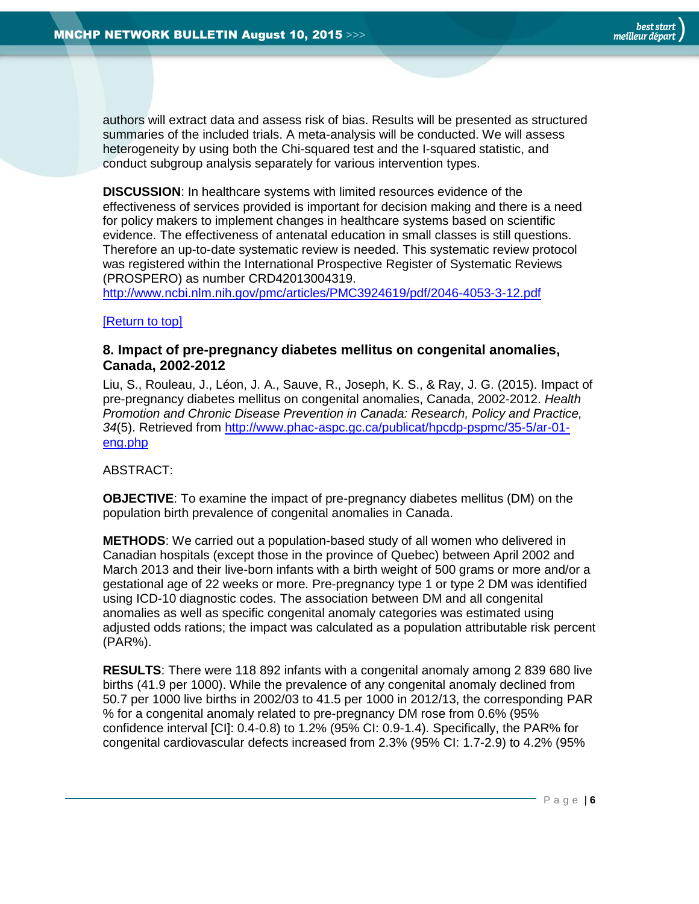authors will extract data and assess risk of bias. Results will be presented as structured summaries of the included trials. A meta-analysis will be conducted. We will assess heterogeneity by using both the Chi-squared test and the I-squared statistic, and conduct subgroup analysis separately for various intervention types.

**DISCUSSION**: In healthcare systems with limited resources evidence of the effectiveness of services provided is important for decision making and there is a need for policy makers to implement changes in healthcare systems based on scientific evidence. The effectiveness of antenatal education in small classes is still questions. Therefore an up-to-date systematic review is needed. This systematic review protocol was registered within the International Prospective Register of Systematic Reviews (PROSPERO) as number CRD42013004319.

<http://www.ncbi.nlm.nih.gov/pmc/articles/PMC3924619/pdf/2046-4053-3-12.pdf>

## <span id="page-5-0"></span>[\[Return to top\]](#page-0-0)

## **8. Impact of pre-pregnancy diabetes mellitus on congenital anomalies, Canada, 2002-2012**

Liu, S., Rouleau, J., Léon, J. A., Sauve, R., Joseph, K. S., & Ray, J. G. (2015). Impact of pre-pregnancy diabetes mellitus on congenital anomalies, Canada, 2002-2012. *Health Promotion and Chronic Disease Prevention in Canada: Research, Policy and Practice, 34*(5). Retrieved from [http://www.phac-aspc.gc.ca/publicat/hpcdp-pspmc/35-5/ar-01](http://www.phac-aspc.gc.ca/publicat/hpcdp-pspmc/35-5/ar-01-eng.php) [eng.php](http://www.phac-aspc.gc.ca/publicat/hpcdp-pspmc/35-5/ar-01-eng.php)

## ABSTRACT:

**OBJECTIVE**: To examine the impact of pre-pregnancy diabetes mellitus (DM) on the population birth prevalence of congenital anomalies in Canada.

**METHODS**: We carried out a population-based study of all women who delivered in Canadian hospitals (except those in the province of Quebec) between April 2002 and March 2013 and their live-born infants with a birth weight of 500 grams or more and/or a gestational age of 22 weeks or more. Pre-pregnancy type 1 or type 2 DM was identified using ICD-10 diagnostic codes. The association between DM and all congenital anomalies as well as specific congenital anomaly categories was estimated using adjusted odds rations; the impact was calculated as a population attributable risk percent (PAR%).

**RESULTS**: There were 118 892 infants with a congenital anomaly among 2 839 680 live births (41.9 per 1000). While the prevalence of any congenital anomaly declined from 50.7 per 1000 live births in 2002/03 to 41.5 per 1000 in 2012/13, the corresponding PAR % for a congenital anomaly related to pre-pregnancy DM rose from 0.6% (95% confidence interval [CI]: 0.4-0.8) to 1.2% (95% CI: 0.9-1.4). Specifically, the PAR% for congenital cardiovascular defects increased from 2.3% (95% CI: 1.7-2.9) to 4.2% (95%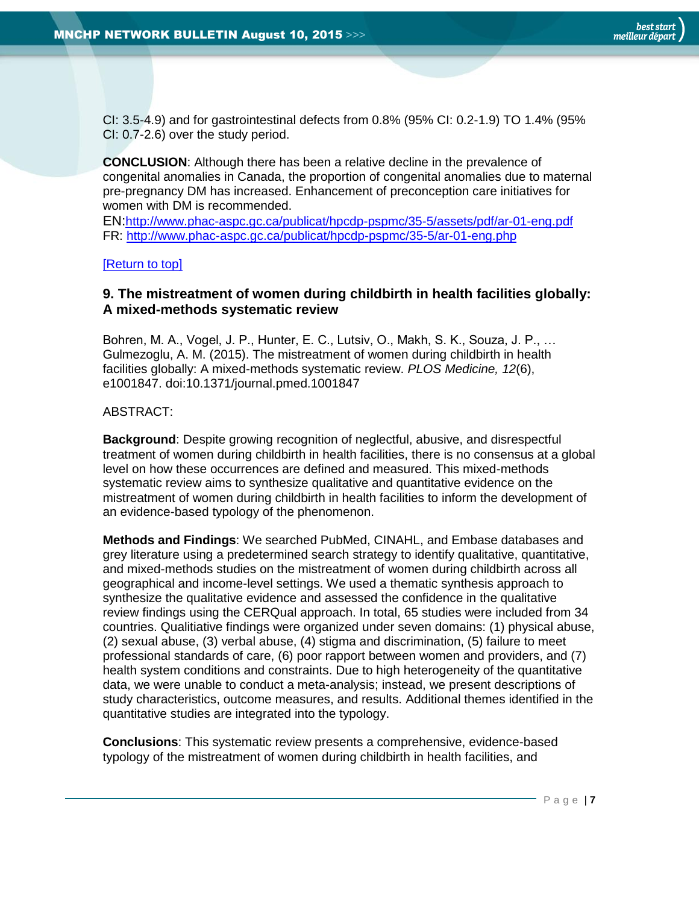CI: 3.5-4.9) and for gastrointestinal defects from 0.8% (95% CI: 0.2-1.9) TO 1.4% (95% CI: 0.7-2.6) over the study period.

**CONCLUSION**: Although there has been a relative decline in the prevalence of congenital anomalies in Canada, the proportion of congenital anomalies due to maternal pre-pregnancy DM has increased. Enhancement of preconception care initiatives for women with DM is recommended.

EN:<http://www.phac-aspc.gc.ca/publicat/hpcdp-pspmc/35-5/assets/pdf/ar-01-eng.pdf> FR:<http://www.phac-aspc.gc.ca/publicat/hpcdp-pspmc/35-5/ar-01-eng.php>

#### [\[Return to top\]](#page-0-0)

## <span id="page-6-0"></span>**9. The mistreatment of women during childbirth in health facilities globally: A mixed-methods systematic review**

Bohren, M. A., Vogel, J. P., Hunter, E. C., Lutsiv, O., Makh, S. K., Souza, J. P., … Gulmezoglu, A. M. (2015). The mistreatment of women during childbirth in health facilities globally: A mixed-methods systematic review. *PLOS Medicine, 12*(6), e1001847. doi:10.1371/journal.pmed.1001847

## ABSTRACT:

**Background**: Despite growing recognition of neglectful, abusive, and disrespectful treatment of women during childbirth in health facilities, there is no consensus at a global level on how these occurrences are defined and measured. This mixed-methods systematic review aims to synthesize qualitative and quantitative evidence on the mistreatment of women during childbirth in health facilities to inform the development of an evidence-based typology of the phenomenon.

**Methods and Findings**: We searched PubMed, CINAHL, and Embase databases and grey literature using a predetermined search strategy to identify qualitative, quantitative, and mixed-methods studies on the mistreatment of women during childbirth across all geographical and income-level settings. We used a thematic synthesis approach to synthesize the qualitative evidence and assessed the confidence in the qualitative review findings using the CERQual approach. In total, 65 studies were included from 34 countries. Qualitiative findings were organized under seven domains: (1) physical abuse, (2) sexual abuse, (3) verbal abuse, (4) stigma and discrimination, (5) failure to meet professional standards of care, (6) poor rapport between women and providers, and (7) health system conditions and constraints. Due to high heterogeneity of the quantitative data, we were unable to conduct a meta-analysis; instead, we present descriptions of study characteristics, outcome measures, and results. Additional themes identified in the quantitative studies are integrated into the typology.

**Conclusions**: This systematic review presents a comprehensive, evidence-based typology of the mistreatment of women during childbirth in health facilities, and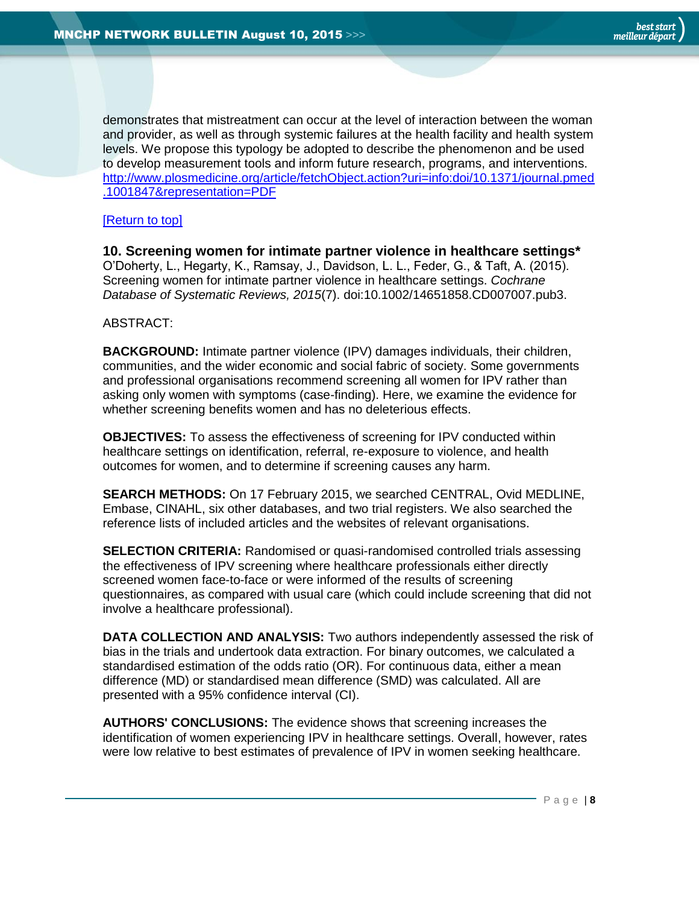demonstrates that mistreatment can occur at the level of interaction between the woman and provider, as well as through systemic failures at the health facility and health system levels. We propose this typology be adopted to describe the phenomenon and be used to develop measurement tools and inform future research, programs, and interventions. [http://www.plosmedicine.org/article/fetchObject.action?uri=info:doi/10.1371/journal.pmed](http://www.plosmedicine.org/article/fetchObject.action?uri=info:doi/10.1371/journal.pmed.1001847&representation=PDF) [.1001847&representation=PDF](http://www.plosmedicine.org/article/fetchObject.action?uri=info:doi/10.1371/journal.pmed.1001847&representation=PDF)

## [\[Return to top\]](#page-0-0)

<span id="page-7-0"></span>**10. Screening women for intimate partner violence in healthcare settings\*** O'Doherty, L., Hegarty, K., Ramsay, J., Davidson, L. L., Feder, G., & Taft, A. (2015). Screening women for intimate partner violence in healthcare settings. *Cochrane Database of Systematic Reviews, 2015*(7). doi:10.1002/14651858.CD007007.pub3.

## ABSTRACT:

**BACKGROUND:** Intimate partner violence (IPV) damages individuals, their children, communities, and the wider economic and social fabric of society. Some governments and professional organisations recommend screening all women for IPV rather than asking only women with symptoms (case-finding). Here, we examine the evidence for whether screening benefits women and has no deleterious effects.

**OBJECTIVES:** To assess the effectiveness of screening for IPV conducted within healthcare settings on identification, referral, re-exposure to violence, and health outcomes for women, and to determine if screening causes any harm.

**SEARCH METHODS:** On 17 February 2015, we searched CENTRAL, Ovid MEDLINE, Embase, CINAHL, six other databases, and two trial registers. We also searched the reference lists of included articles and the websites of relevant organisations.

**SELECTION CRITERIA:** Randomised or quasi-randomised controlled trials assessing the effectiveness of IPV screening where healthcare professionals either directly screened women face-to-face or were informed of the results of screening questionnaires, as compared with usual care (which could include screening that did not involve a healthcare professional).

**DATA COLLECTION AND ANALYSIS:** Two authors independently assessed the risk of bias in the trials and undertook data extraction. For binary outcomes, we calculated a standardised estimation of the odds ratio (OR). For continuous data, either a mean difference (MD) or standardised mean difference (SMD) was calculated. All are presented with a 95% confidence interval (CI).

**AUTHORS' CONCLUSIONS:** The evidence shows that screening increases the identification of women experiencing IPV in healthcare settings. Overall, however, rates were low relative to best estimates of prevalence of IPV in women seeking healthcare.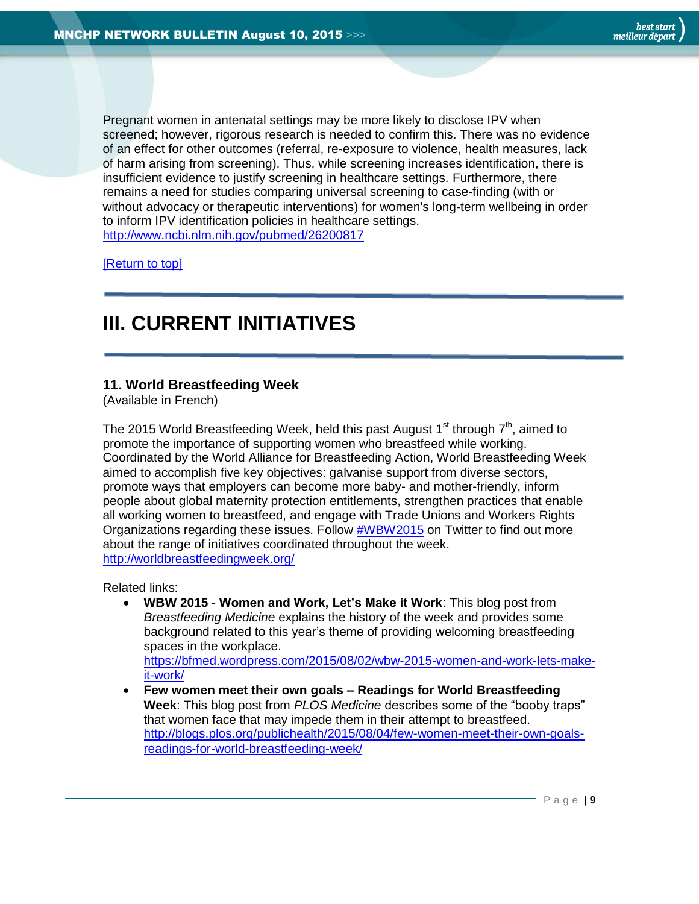Pregnant women in antenatal settings may be more likely to disclose IPV when screened; however, rigorous research is needed to confirm this. There was no evidence of an effect for other outcomes (referral, re-exposure to violence, health measures, lack of harm arising from screening). Thus, while screening increases identification, there is insufficient evidence to justify screening in healthcare settings. Furthermore, there remains a need for studies comparing universal screening to case-finding (with or without advocacy or therapeutic interventions) for women's long-term wellbeing in order to inform IPV identification policies in healthcare settings. <http://www.ncbi.nlm.nih.gov/pubmed/26200817>

[\[Return to top\]](#page-0-0)

# <span id="page-8-0"></span>**III. CURRENT INITIATIVES**

## <span id="page-8-1"></span>**11. World Breastfeeding Week**

(Available in French)

The 2015 World Breastfeeding Week, held this past August 1<sup>st</sup> through  $7<sup>th</sup>$ , aimed to promote the importance of supporting women who breastfeed while working. Coordinated by the World Alliance for Breastfeeding Action, World Breastfeeding Week aimed to accomplish five key objectives: galvanise support from diverse sectors, promote ways that employers can become more baby- and mother-friendly, inform people about global maternity protection entitlements, strengthen practices that enable all working women to breastfeed, and engage with Trade Unions and Workers Rights Organizations regarding these issues. Follow [#WBW2015](https://twitter.com/search?q=%23WBW2015&src=typd) on Twitter to find out more about the range of initiatives coordinated throughout the week. <http://worldbreastfeedingweek.org/>

Related links:

 **WBW 2015 - Women and Work, Let's Make it Work**: This blog post from *Breastfeeding Medicine* explains the history of the week and provides some background related to this year's theme of providing welcoming breastfeeding spaces in the workplace.

[https://bfmed.wordpress.com/2015/08/02/wbw-2015-women-and-work-lets-make](https://bfmed.wordpress.com/2015/08/02/wbw-2015-women-and-work-lets-make-it-work/)[it-work/](https://bfmed.wordpress.com/2015/08/02/wbw-2015-women-and-work-lets-make-it-work/)

 **Few women meet their own goals – Readings for World Breastfeeding Week**: This blog post from *PLOS Medicine* describes some of the "booby traps" that women face that may impede them in their attempt to breastfeed. [http://blogs.plos.org/publichealth/2015/08/04/few-women-meet-their-own-goals](http://blogs.plos.org/publichealth/2015/08/04/few-women-meet-their-own-goals-readings-for-world-breastfeeding-week/)[readings-for-world-breastfeeding-week/](http://blogs.plos.org/publichealth/2015/08/04/few-women-meet-their-own-goals-readings-for-world-breastfeeding-week/)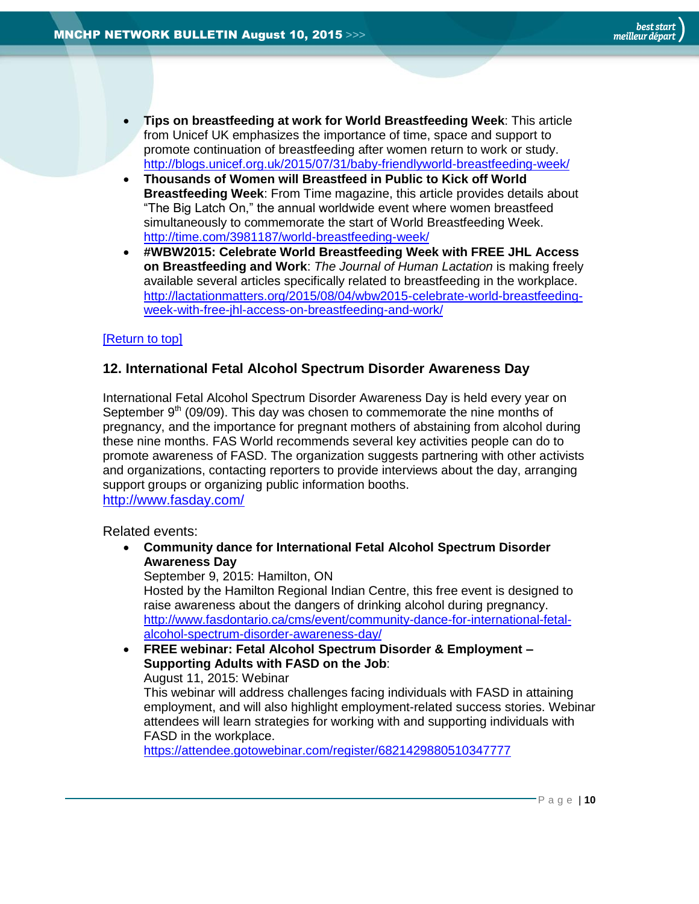- **Tips on breastfeeding at work for World Breastfeeding Week**: This article from Unicef UK emphasizes the importance of time, space and support to promote continuation of breastfeeding after women return to work or study. <http://blogs.unicef.org.uk/2015/07/31/baby-friendlyworld-breastfeeding-week/>
- **Thousands of Women will Breastfeed in Public to Kick off World Breastfeeding Week**: From Time magazine, this article provides details about "The Big Latch On," the annual worldwide event where women breastfeed simultaneously to commemorate the start of World Breastfeeding Week. <http://time.com/3981187/world-breastfeeding-week/>
- **#WBW2015: Celebrate World Breastfeeding Week with FREE JHL Access on Breastfeeding and Work**: *The Journal of Human Lactation* is making freely available several articles specifically related to breastfeeding in the workplace. [http://lactationmatters.org/2015/08/04/wbw2015-celebrate-world-breastfeeding](http://lactationmatters.org/2015/08/04/wbw2015-celebrate-world-breastfeeding-week-with-free-jhl-access-on-breastfeeding-and-work/)[week-with-free-jhl-access-on-breastfeeding-and-work/](http://lactationmatters.org/2015/08/04/wbw2015-celebrate-world-breastfeeding-week-with-free-jhl-access-on-breastfeeding-and-work/)

## <span id="page-9-0"></span>**12. International Fetal Alcohol Spectrum Disorder Awareness Day**

International Fetal Alcohol Spectrum Disorder Awareness Day is held every year on September  $9<sup>th</sup>$  (09/09). This day was chosen to commemorate the nine months of pregnancy, and the importance for pregnant mothers of abstaining from alcohol during these nine months. FAS World recommends several key activities people can do to promote awareness of FASD. The organization suggests partnering with other activists and organizations, contacting reporters to provide interviews about the day, arranging support groups or organizing public information booths. <http://www.fasday.com/>

Related events:

 **Community dance for International Fetal Alcohol Spectrum Disorder Awareness Day**

September 9, 2015: Hamilton, ON

Hosted by the Hamilton Regional Indian Centre, this free event is designed to raise awareness about the dangers of drinking alcohol during pregnancy. [http://www.fasdontario.ca/cms/event/community-dance-for-international-fetal](http://www.fasdontario.ca/cms/event/community-dance-for-international-fetal-alcohol-spectrum-disorder-awareness-day/)[alcohol-spectrum-disorder-awareness-day/](http://www.fasdontario.ca/cms/event/community-dance-for-international-fetal-alcohol-spectrum-disorder-awareness-day/)

 **FREE webinar: Fetal Alcohol Spectrum Disorder & Employment – Supporting Adults with FASD on the Job**: August 11, 2015: Webinar This webinar will address challenges facing individuals with FASD in attaining employment, and will also highlight employment-related success stories. Webinar attendees will learn strategies for working with and supporting individuals with FASD in the workplace.

<https://attendee.gotowebinar.com/register/6821429880510347777>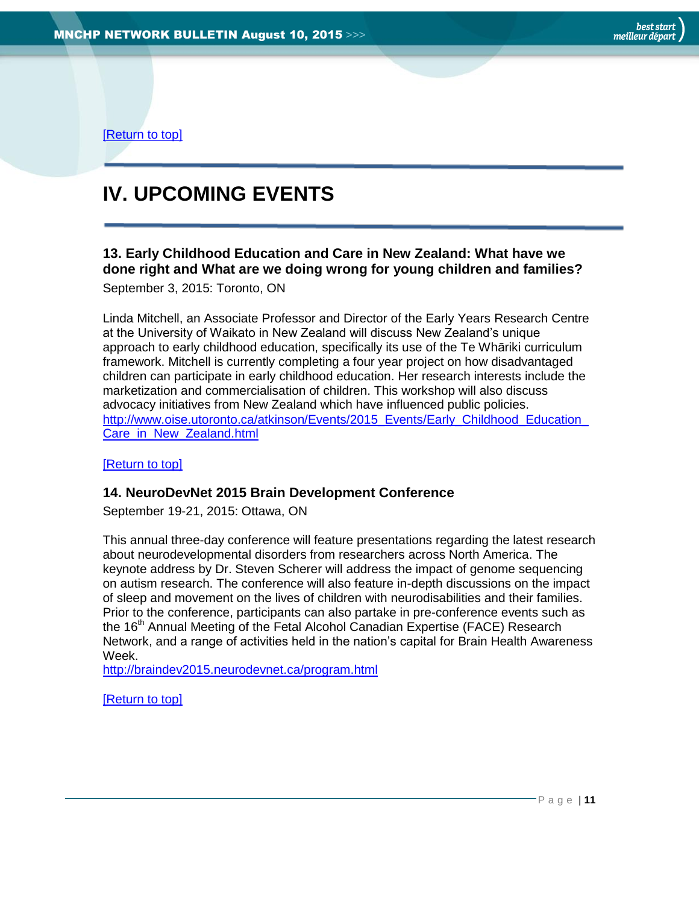# <span id="page-10-0"></span>**IV. UPCOMING EVENTS**

## <span id="page-10-1"></span>**13. Early Childhood Education and Care in New Zealand: What have we done right and What are we doing wrong for young children and families?**

September 3, 2015: Toronto, ON

Linda Mitchell, an Associate Professor and Director of the Early Years Research Centre at the University of Waikato in New Zealand will discuss New Zealand's unique approach to early childhood education, specifically its use of the Te Whāriki curriculum framework. Mitchell is currently completing a four year project on how disadvantaged children can participate in early childhood education. Her research interests include the marketization and commercialisation of children. This workshop will also discuss advocacy initiatives from New Zealand which have influenced public policies. http://www.oise.utoronto.ca/atkinson/Events/2015\_Events/Early\_Childhood\_Education [Care\\_in\\_New\\_Zealand.html](http://www.oise.utoronto.ca/atkinson/Events/2015_Events/Early_Childhood_Education_Care_in_New_Zealand.html)

<span id="page-10-2"></span>[\[Return to top\]](#page-0-0)

## **14. NeuroDevNet 2015 Brain Development Conference**

September 19-21, 2015: Ottawa, ON

This annual three-day conference will feature presentations regarding the latest research about neurodevelopmental disorders from researchers across North America. The keynote address by Dr. Steven Scherer will address the impact of genome sequencing on autism research. The conference will also feature in-depth discussions on the impact of sleep and movement on the lives of children with neurodisabilities and their families. Prior to the conference, participants can also partake in pre-conference events such as the 16<sup>th</sup> Annual Meeting of the Fetal Alcohol Canadian Expertise (FACE) Research Network, and a range of activities held in the nation's capital for Brain Health Awareness Week.

<http://braindev2015.neurodevnet.ca/program.html>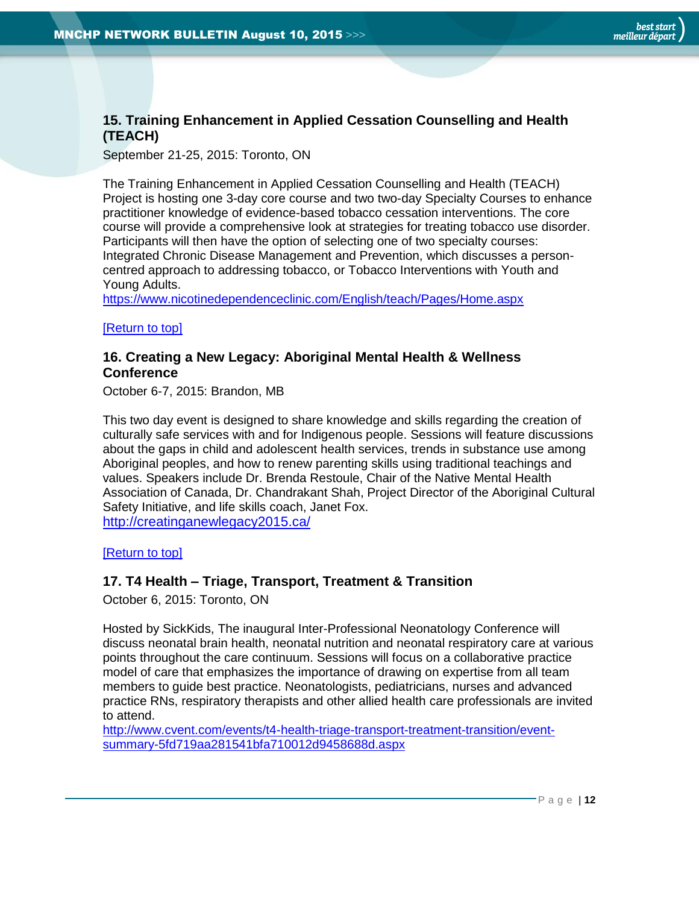## <span id="page-11-0"></span>**15. Training Enhancement in Applied Cessation Counselling and Health (TEACH)**

September 21-25, 2015: Toronto, ON

The Training Enhancement in Applied Cessation Counselling and Health (TEACH) Project is hosting one 3-day core course and two two-day Specialty Courses to enhance practitioner knowledge of evidence-based tobacco cessation interventions. The core course will provide a comprehensive look at strategies for treating tobacco use disorder. Participants will then have the option of selecting one of two specialty courses: Integrated Chronic Disease Management and Prevention, which discusses a personcentred approach to addressing tobacco, or Tobacco Interventions with Youth and Young Adults.

<https://www.nicotinedependenceclinic.com/English/teach/Pages/Home.aspx>

## <span id="page-11-1"></span>[\[Return to top\]](#page-0-0)

## **16. Creating a New Legacy: Aboriginal Mental Health & Wellness Conference**

October 6-7, 2015: Brandon, MB

This two day event is designed to share knowledge and skills regarding the creation of culturally safe services with and for Indigenous people. Sessions will feature discussions about the gaps in child and adolescent health services, trends in substance use among Aboriginal peoples, and how to renew parenting skills using traditional teachings and values. Speakers include Dr. Brenda Restoule, Chair of the Native Mental Health Association of Canada, Dr. Chandrakant Shah, Project Director of the Aboriginal Cultural Safety Initiative, and life skills coach, Janet Fox.

<http://creatinganewlegacy2015.ca/>

<span id="page-11-2"></span>[\[Return to top\]](#page-0-0)

## **17. T4 Health – Triage, Transport, Treatment & Transition**

October 6, 2015: Toronto, ON

Hosted by SickKids, The inaugural Inter-Professional Neonatology Conference will discuss neonatal brain health, neonatal nutrition and neonatal respiratory care at various points throughout the care continuum. Sessions will focus on a collaborative practice model of care that emphasizes the importance of drawing on expertise from all team members to guide best practice. Neonatologists, pediatricians, nurses and advanced practice RNs, respiratory therapists and other allied health care professionals are invited to attend.

[http://www.cvent.com/events/t4-health-triage-transport-treatment-transition/event](http://www.cvent.com/events/t4-health-triage-transport-treatment-transition/event-summary-5fd719aa281541bfa710012d9458688d.aspx)[summary-5fd719aa281541bfa710012d9458688d.aspx](http://www.cvent.com/events/t4-health-triage-transport-treatment-transition/event-summary-5fd719aa281541bfa710012d9458688d.aspx)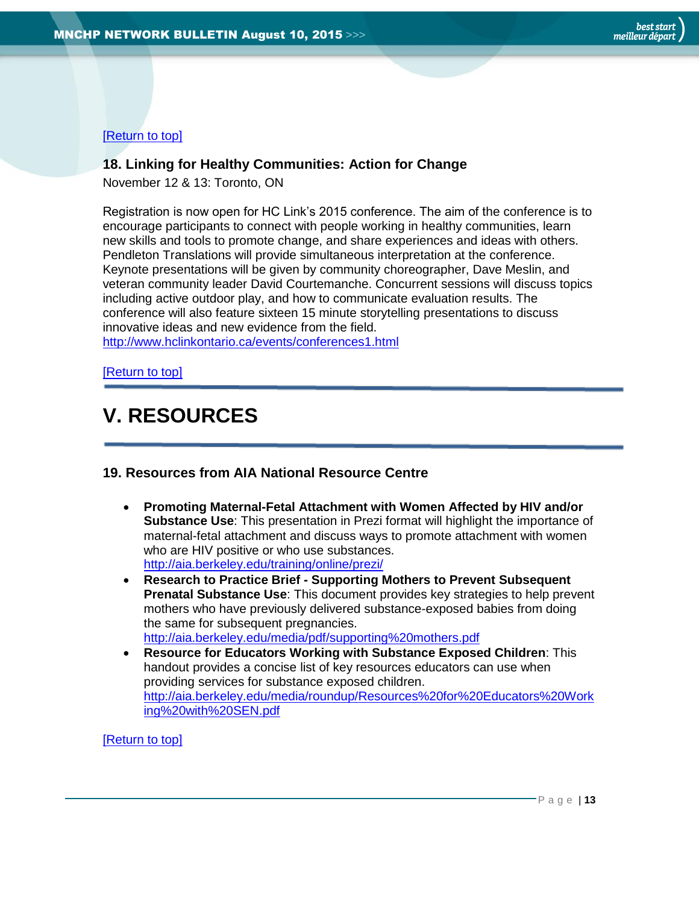## <span id="page-12-0"></span>**18. Linking for Healthy Communities: Action for Change**

November 12 & 13: Toronto, ON

Registration is now open for HC Link's 2015 conference. The aim of the conference is to encourage participants to connect with people working in healthy communities, learn new skills and tools to promote change, and share experiences and ideas with others. Pendleton Translations will provide simultaneous interpretation at the conference. Keynote presentations will be given by community choreographer, Dave Meslin, and veteran community leader David Courtemanche. Concurrent sessions will discuss topics including active outdoor play, and how to communicate evaluation results. The conference will also feature sixteen 15 minute storytelling presentations to discuss innovative ideas and new evidence from the field. <http://www.hclinkontario.ca/events/conferences1.html>

[\[Return to top\]](#page-0-0)

# <span id="page-12-1"></span>**V. RESOURCES**

## <span id="page-12-2"></span>**19. Resources from AIA National Resource Centre**

- **Promoting Maternal-Fetal Attachment with Women Affected by HIV and/or Substance Use**: This presentation in Prezi format will highlight the importance of maternal-fetal attachment and discuss ways to promote attachment with women who are HIV positive or who use substances. <http://aia.berkeley.edu/training/online/prezi/>
- **Research to Practice Brief - Supporting Mothers to Prevent Subsequent Prenatal Substance Use**: This document provides key strategies to help prevent mothers who have previously delivered substance-exposed babies from doing the same for subsequent pregnancies. <http://aia.berkeley.edu/media/pdf/supporting%20mothers.pdf>
- **Resource for Educators Working with Substance Exposed Children**: This handout provides a concise list of key resources educators can use when providing services for substance exposed children. [http://aia.berkeley.edu/media/roundup/Resources%20for%20Educators%20Work](http://aia.berkeley.edu/media/roundup/Resources%20for%20Educators%20Working%20with%20SEN.pdf) [ing%20with%20SEN.pdf](http://aia.berkeley.edu/media/roundup/Resources%20for%20Educators%20Working%20with%20SEN.pdf)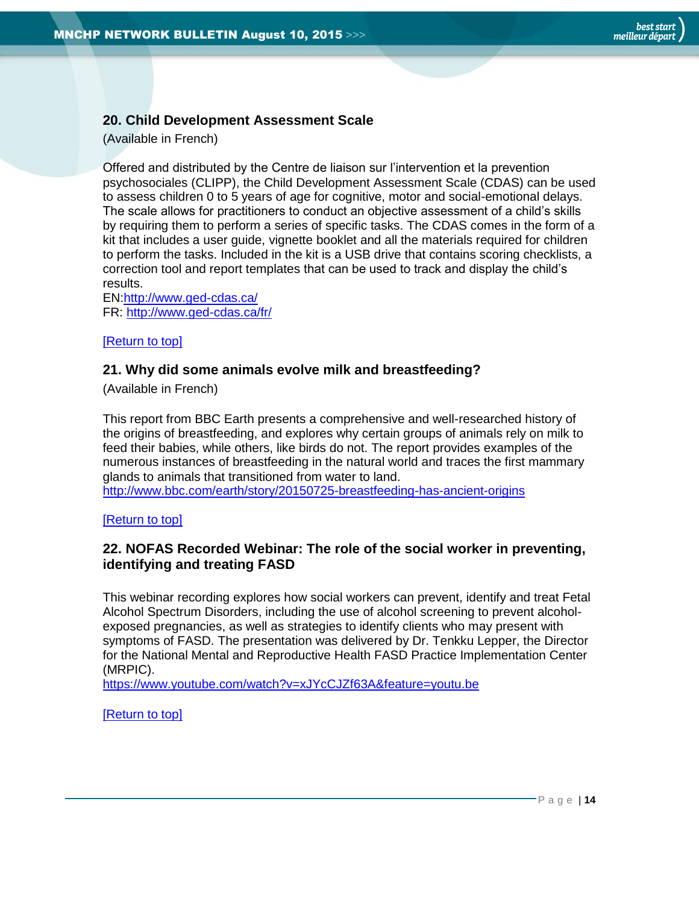## <span id="page-13-0"></span>**20. Child Development Assessment Scale**

(Available in French)

Offered and distributed by the Centre de liaison sur l'intervention et la prevention psychosociales (CLIPP), the Child Development Assessment Scale (CDAS) can be used to assess children 0 to 5 years of age for cognitive, motor and social-emotional delays. The scale allows for practitioners to conduct an objective assessment of a child's skills by requiring them to perform a series of specific tasks. The CDAS comes in the form of a kit that includes a user guide, vignette booklet and all the materials required for children to perform the tasks. Included in the kit is a USB drive that contains scoring checklists, a correction tool and report templates that can be used to track and display the child's results.

EN[:http://www.ged-cdas.ca/](http://www.ged-cdas.ca/) FR:<http://www.ged-cdas.ca/fr/>

## <span id="page-13-1"></span>[\[Return to top\]](#page-0-0)

## **21. Why did some animals evolve milk and breastfeeding?**

(Available in French)

This report from BBC Earth presents a comprehensive and well-researched history of the origins of breastfeeding, and explores why certain groups of animals rely on milk to feed their babies, while others, like birds do not. The report provides examples of the numerous instances of breastfeeding in the natural world and traces the first mammary glands to animals that transitioned from water to land.

<http://www.bbc.com/earth/story/20150725-breastfeeding-has-ancient-origins>

<span id="page-13-2"></span>[\[Return to top\]](#page-0-0)

## **22. NOFAS Recorded Webinar: The role of the social worker in preventing, identifying and treating FASD**

This webinar recording explores how social workers can prevent, identify and treat Fetal Alcohol Spectrum Disorders, including the use of alcohol screening to prevent alcoholexposed pregnancies, as well as strategies to identify clients who may present with symptoms of FASD. The presentation was delivered by Dr. Tenkku Lepper, the Director for the National Mental and Reproductive Health FASD Practice Implementation Center (MRPIC).

<https://www.youtube.com/watch?v=xJYcCJZf63A&feature=youtu.be>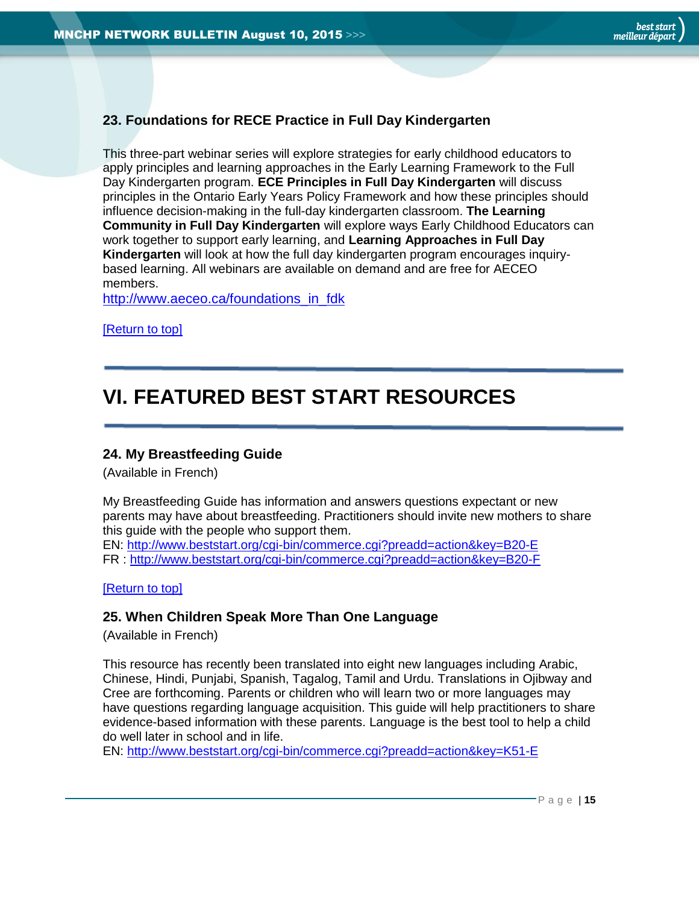## <span id="page-14-0"></span>**23. Foundations for RECE Practice in Full Day Kindergarten**

This three-part webinar series will explore strategies for early childhood educators to apply principles and learning approaches in the Early Learning Framework to the Full Day Kindergarten program. **ECE Principles in Full Day Kindergarten** will discuss principles in the Ontario Early Years Policy Framework and how these principles should influence decision-making in the full-day kindergarten classroom. **The Learning Community in Full Day Kindergarten** will explore ways Early Childhood Educators can work together to support early learning, and **Learning Approaches in Full Day Kindergarten** will look at how the full day kindergarten program encourages inquirybased learning. All webinars are available on demand and are free for AECEO members.

[http://www.aeceo.ca/foundations\\_in\\_fdk](http://www.aeceo.ca/foundations_in_fdk)

[\[Return to top\]](#page-0-0)

# <span id="page-14-1"></span>**VI. FEATURED BEST START RESOURCES**

## <span id="page-14-2"></span>**24. My Breastfeeding Guide**

(Available in French)

My Breastfeeding Guide has information and answers questions expectant or new parents may have about breastfeeding. Practitioners should invite new mothers to share this guide with the people who support them.

EN:<http://www.beststart.org/cgi-bin/commerce.cgi?preadd=action&key=B20-E> FR :<http://www.beststart.org/cgi-bin/commerce.cgi?preadd=action&key=B20-F>

<span id="page-14-3"></span>[\[Return to top\]](#page-0-0)

## **25. When Children Speak More Than One Language**

(Available in French)

This resource has recently been translated into eight new languages including Arabic, Chinese, Hindi, Punjabi, Spanish, Tagalog, Tamil and Urdu. Translations in Ojibway and Cree are forthcoming. Parents or children who will learn two or more languages may have questions regarding language acquisition. This guide will help practitioners to share evidence-based information with these parents. Language is the best tool to help a child do well later in school and in life.

EN:<http://www.beststart.org/cgi-bin/commerce.cgi?preadd=action&key=K51-E>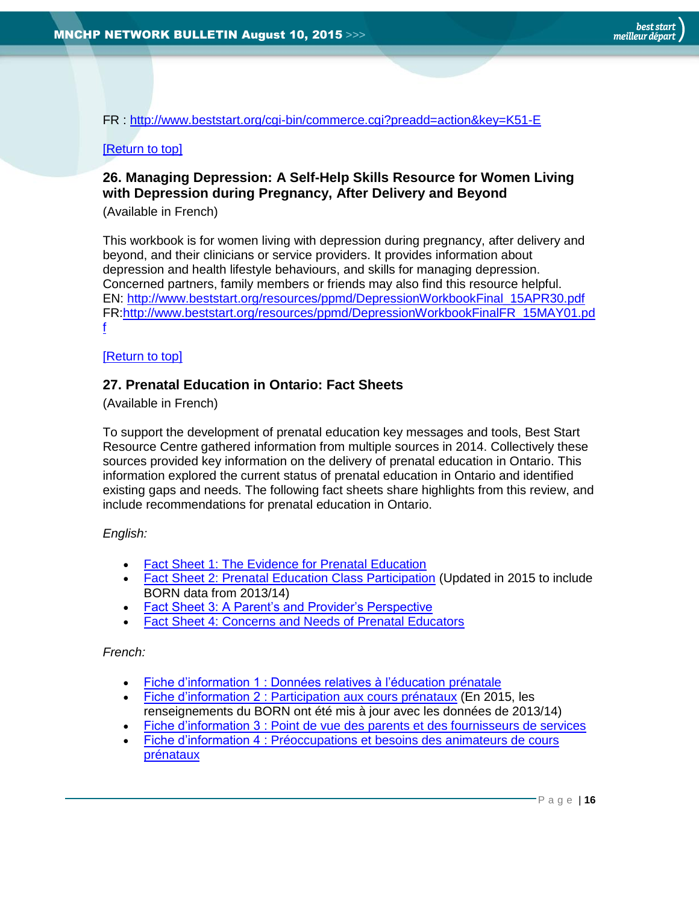FR : <http://www.beststart.org/cgi-bin/commerce.cgi?preadd=action&key=K51-E>

## <span id="page-15-0"></span>[\[Return to top\]](#page-0-0)

## **26. Managing Depression: A Self-Help Skills Resource for Women Living with Depression during Pregnancy, After Delivery and Beyond**

(Available in French)

This workbook is for women living with depression during pregnancy, after delivery and beyond, and their clinicians or service providers. It provides information about depression and health lifestyle behaviours, and skills for managing depression. Concerned partners, family members or friends may also find this resource helpful. EN: [http://www.beststart.org/resources/ppmd/DepressionWorkbookFinal\\_15APR30.pdf](http://www.beststart.org/resources/ppmd/DepressionWorkbookFinal_15APR30.pdf) FR:http://www.beststart.org/resources/ppmd/DepressionWorkbookFinalFR\_15MAY01.pd f

## [\[Return to top\]](#page-0-0)

## <span id="page-15-1"></span>**27. Prenatal Education in Ontario: Fact Sheets**

(Available in French)

To support the development of prenatal education key messages and tools, Best Start Resource Centre gathered information from multiple sources in 2014. Collectively these sources provided key information on the delivery of prenatal education in Ontario. This information explored the current status of prenatal education in Ontario and identified existing gaps and needs. The following fact sheets share highlights from this review, and include recommendations for prenatal education in Ontario.

## *English:*

- [Fact Sheet 1: The Evidence for Prenatal Education](http://www.beststart.org/resources/rep_health/BSRC_Prenatal_Fact_Sheet_1_2015.pdf)
- [Fact Sheet 2: Prenatal Education Class Participation](http://www.beststart.org/resources/rep_health/BSRC_Prenatal_Fact_Sheet_2_2015.pdf) (Updated in 2015 to include BORN data from 2013/14)
- [Fact Sheet 3: A Parent's and Provider's Perspective](http://www.beststart.org/resources/rep_health/BSRC_Prenatal_Fact_Sheet_3_2015.pdf)
- [Fact Sheet 4: Concerns and Needs of Prenatal Educators](http://www.beststart.org/resources/rep_health/BSRC_Prenatal_Fact_Sheet_4_2015.pdf)

## *French:*

- [Fiche d'information 1 : Données relatives à l'éducation](http://www.meilleurdepart.org/resources/repro/BSRC_Prenatal_Fact_Sheet_1_FR.pdf) prénatale
- **Fiche d'information 2 [: Participation aux cours prénataux](http://www.meilleurdepart.org/resources/repro/BSRC_Prenatal_Fact_Sheet_2_FR.pdf) (En 2015, les** renseignements du BORN ont été mis à jour avec les données de 2013/14)
- Fiche d'information 3 [: Point de vue des parents et des fournisseurs de services](http://www.meilleurdepart.org/resources/repro/BSRC_Prenatal_Fact_Sheet_3_FR.pdf)
- Fiche d'information 4 [: Préoccupations et besoins des animateurs de cours](http://www.meilleurdepart.org/resources/repro/BSRC_Prenatal_Fact_Sheet_4_FR.pdf)  [prénataux](http://www.meilleurdepart.org/resources/repro/BSRC_Prenatal_Fact_Sheet_4_FR.pdf)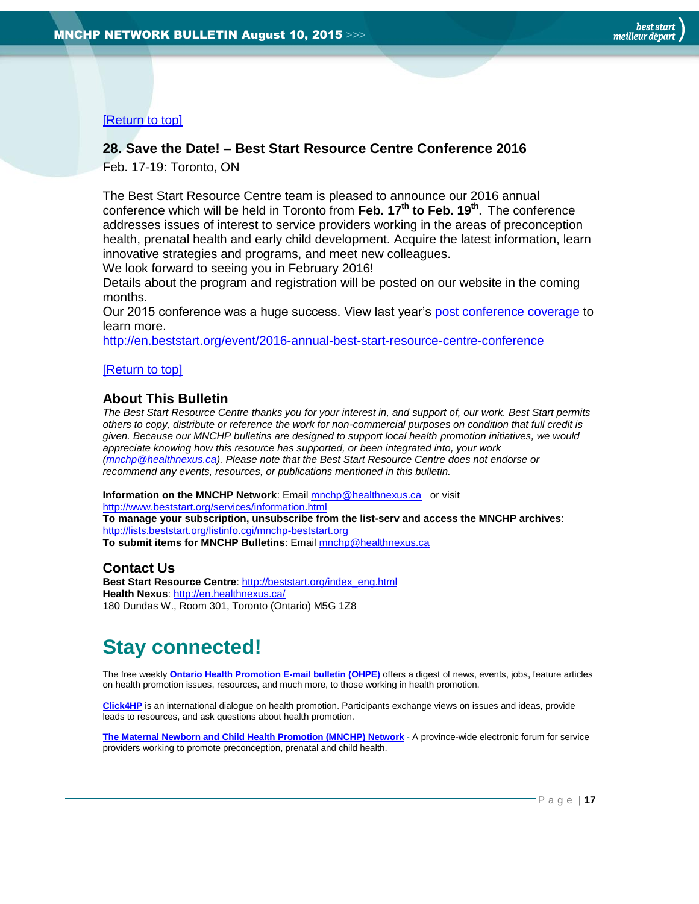## <span id="page-16-1"></span>**28. Save the Date! – Best Start Resource Centre Conference 2016**

Feb. 17-19: Toronto, ON

The Best Start Resource Centre team is pleased to announce our 2016 annual conference which will be held in Toronto from **Feb. 17th to Feb. 19th** . The conference addresses issues of interest to service providers working in the areas of preconception health, prenatal health and early child development. Acquire the latest information, learn innovative strategies and programs, and meet new colleagues.

We look forward to seeing you in February 2016!

Details about the program and registration will be posted on our website in the coming months.

Our 2015 conference was a huge success. View last year's [post conference coverage](http://en.beststart.org/2015-best-start-resource-centre-annual-conference-overview/) to learn more.

<http://en.beststart.org/event/2016-annual-best-start-resource-centre-conference>

#### [\[Return to top\]](#page-0-0)

## <span id="page-16-0"></span>**About This Bulletin**

*The Best Start Resource Centre thanks you for your interest in, and support of, our work. Best Start permits others to copy, distribute or reference the work for non-commercial purposes on condition that full credit is given. Because our MNCHP bulletins are designed to support local health promotion initiatives, we would appreciate knowing how this resource has supported, or been integrated into, your work [\(mnchp@healthnexus.ca\)](mailto:mnchp@healthnexus.ca). Please note that the Best Start Resource Centre does not endorse or recommend any events, resources, or publications mentioned in this bulletin.* 

## **Information on the MNCHP Network:** Email **mnchp@healthnexus.ca** or visit

<http://www.beststart.org/services/information.html> **To manage your subscription, unsubscribe from the list-serv and access the MNCHP archives**: <http://lists.beststart.org/listinfo.cgi/mnchp-beststart.org> **To submit items for MNCHP Bulletins**: Emai[l mnchp@healthnexus.ca](mailto:mnchp@healthnexus.ca)

## **Contact Us**

**Best Start Resource Centre**: [http://beststart.org/index\\_eng.html](http://beststart.org/index_eng.html) **Health Nexus**:<http://en.healthnexus.ca/> 180 Dundas W., Room 301, Toronto (Ontario) M5G 1Z8

## **Stay connected!**

The free weekly **[Ontario Health Promotion E-mail bulletin \(OHPE\)](http://www.ohpe.ca/)** offers a digest of news, events, jobs, feature articles on health promotion issues, resources, and much more, to those working in health promotion.

**[Click4HP](https://listserv.yorku.ca/archives/click4hp.html)** is an international dialogue on health promotion. Participants exchange views on issues and ideas, provide leads to resources, and ask questions about health promotion.

**[The Maternal Newborn and Child Health Promotion \(MNCHP\) Network](http://www.beststart.org/services/MNCHP.html) -** A province-wide electronic forum for service providers working to promote preconception, prenatal and child health.